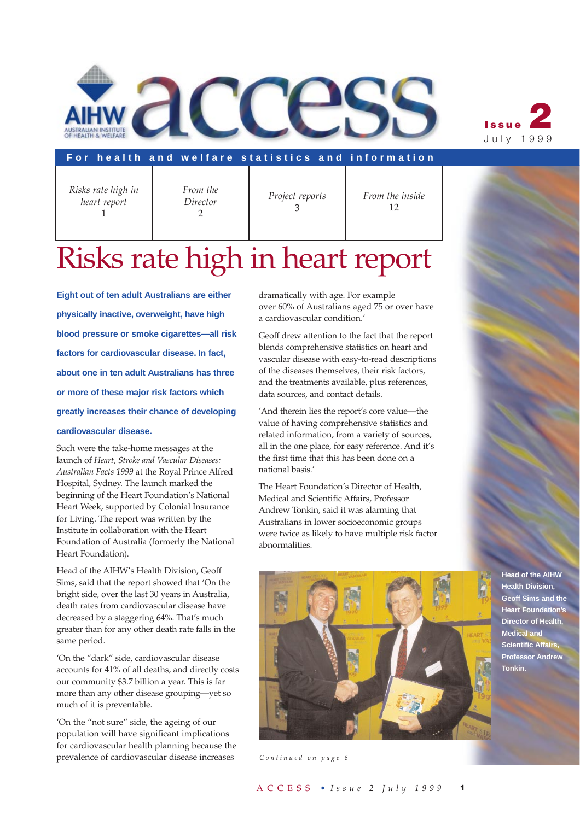



#### **For health and welfare statistics and information**

*Risks rate high in heart report* 1

*From the Director*  $\mathcal{P}$ 

*Project reports*  3

*From the inside* 12

# Risks rate high in heart report

**Eight out of ten adult Australians are either physically inactive, overweight, have high blood pressure or smoke cigarettes—all risk factors for cardiovascular disease. In fact, about one in ten adult Australians has three or more of these major risk factors which greatly increases their chance of developing**

#### **cardiovascular disease.**

Such were the take-home messages at the launch of *Heart, Stroke and Vascular Diseases: Australian Facts 1999* at the Royal Prince Alfred Hospital, Sydney. The launch marked the beginning of the Heart Foundation's National Heart Week, supported by Colonial Insurance for Living. The report was written by the Institute in collaboration with the Heart Foundation of Australia (formerly the National Heart Foundation).

Head of the AIHW's Health Division, Geoff Sims, said that the report showed that 'On the bright side, over the last 30 years in Australia, death rates from cardiovascular disease have decreased by a staggering 64%. That's much greater than for any other death rate falls in the same period.

'On the "dark" side, cardiovascular disease accounts for 41% of all deaths, and directly costs our community \$3.7 billion a year. This is far more than any other disease grouping—yet so much of it is preventable.

'On the "not sure" side, the ageing of our population will have significant implications for cardiovascular health planning because the prevalence of cardiovascular disease increases

dramatically with age. For example over 60% of Australians aged 75 or over have a cardiovascular condition.'

Geoff drew attention to the fact that the report blends comprehensive statistics on heart and vascular disease with easy-to-read descriptions of the diseases themselves, their risk factors, and the treatments available, plus references, data sources, and contact details.

'And therein lies the report's core value—the value of having comprehensive statistics and related information, from a variety of sources, all in the one place, for easy reference. And it's the first time that this has been done on a national basis.'

The Heart Foundation's Director of Health, Medical and Scientific Affairs, Professor Andrew Tonkin, said it was alarming that Australians in lower socioeconomic groups were twice as likely to have multiple risk factor abnormalities.



*Continued on page 6*

**Head of the AIHW Health Division, Geoff Sims and the Heart Foundation's Director of Health, Medical and Scientific Affairs, Professor Andrew Tonkin.**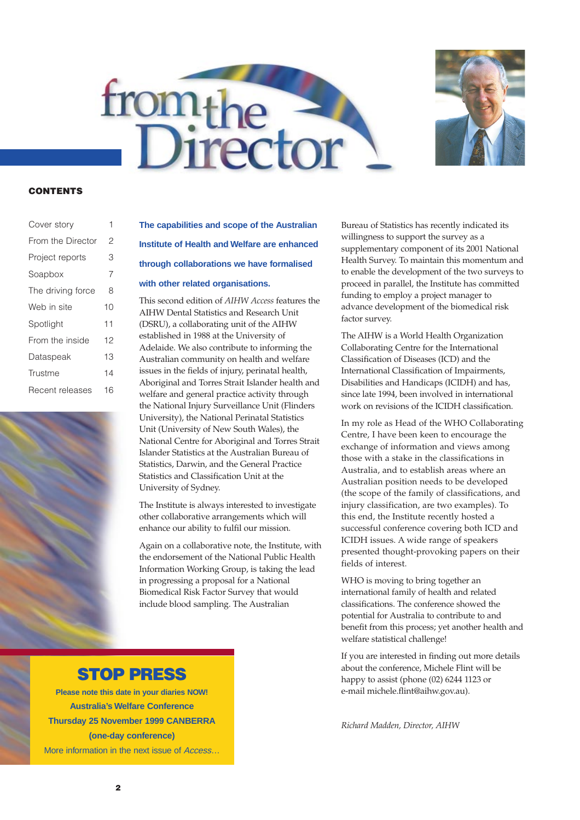



#### **CONTENTS**

| Cover story       | 1  |
|-------------------|----|
| From the Director | 2  |
| Project reports   | З  |
| Soapbox           | 7  |
| The driving force | 8  |
| Web in site       | 10 |
| Spotlight         | 11 |
| From the inside   | 12 |
| Dataspeak         | 13 |
| Trustme           | 14 |
| Recent releases   | 16 |

### **The capabilities and scope of the Australian Institute of Health and Welfare are enhanced through collaborations we have formalised with other related organisations.**

This second edition of *AIHW Access* features the AIHW Dental Statistics and Research Unit (DSRU), a collaborating unit of the AIHW established in 1988 at the University of Adelaide. We also contribute to informing the Australian community on health and welfare issues in the fields of injury, perinatal health, Aboriginal and Torres Strait Islander health and welfare and general practice activity through the National Injury Surveillance Unit (Flinders University), the National Perinatal Statistics Unit (University of New South Wales), the National Centre for Aboriginal and Torres Strait Islander Statistics at the Australian Bureau of Statistics, Darwin, and the General Practice Statistics and Classification Unit at the University of Sydney.

The Institute is always interested to investigate other collaborative arrangements which will enhance our ability to fulfil our mission.

Again on a collaborative note, the Institute, with the endorsement of the National Public Health Information Working Group, is taking the lead in progressing a proposal for a National Biomedical Risk Factor Survey that would include blood sampling. The Australian

Bureau of Statistics has recently indicated its willingness to support the survey as a supplementary component of its 2001 National Health Survey. To maintain this momentum and to enable the development of the two surveys to proceed in parallel, the Institute has committed funding to employ a project manager to advance development of the biomedical risk factor survey.

The AIHW is a World Health Organization Collaborating Centre for the International Classification of Diseases (ICD) and the International Classification of Impairments, Disabilities and Handicaps (ICIDH) and has, since late 1994, been involved in international work on revisions of the ICIDH classification.

In my role as Head of the WHO Collaborating Centre, I have been keen to encourage the exchange of information and views among those with a stake in the classifications in Australia, and to establish areas where an Australian position needs to be developed (the scope of the family of classifications, and injury classification, are two examples). To this end, the Institute recently hosted a successful conference covering both ICD and ICIDH issues. A wide range of speakers presented thought-provoking papers on their fields of interest.

WHO is moving to bring together an international family of health and related classifications. The conference showed the potential for Australia to contribute to and benefit from this process; yet another health and welfare statistical challenge!

If you are interested in finding out more details about the conference, Michele Flint will be happy to assist (phone (02) 6244 1123 or e-mail michele.flint@aihw.gov.au).

*Richard Madden, Director, AIHW*

#### **STOP PRESS**

**Please note this date in your diaries NOW! Australia's Welfare Conference Thursday 25 November 1999 CANBERRA (one-day conference)** More information in the next issue of Access…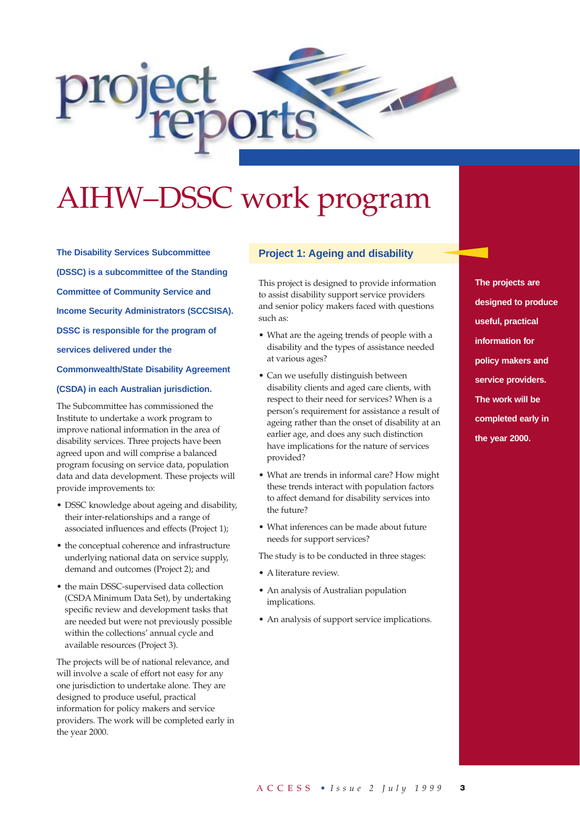

# AIHW–DSSC work program

**The Disability Services Subcommittee (DSSC) is a subcommittee of the Standing Committee of Community Service and Income Security Administrators (SCCSISA). DSSC is responsible for the program of services delivered under the Commonwealth/State Disability Agreement (CSDA) in each Australian jurisdiction.**

The Subcommittee has commissioned the Institute to undertake a work program to improve national information in the area of disability services. Three projects have been agreed upon and will comprise a balanced program focusing on service data, population data and data development. These projects will provide improvements to:

- DSSC knowledge about ageing and disability, their inter-relationships and a range of associated influences and effects (Project 1);
- the conceptual coherence and infrastructure underlying national data on service supply, demand and outcomes (Project 2); and
- the main DSSC-supervised data collection (CSDA Minimum Data Set), by undertaking specific review and development tasks that are needed but were not previously possible within the collections' annual cycle and available resources (Project 3).

The projects will be of national relevance, and will involve a scale of effort not easy for any one jurisdiction to undertake alone. They are designed to produce useful, practical information for policy makers and service providers. The work will be completed early in the year 2000.

#### **Project 1: Ageing and disability**

This project is designed to provide information to assist disability support service providers and senior policy makers faced with questions such as:

- What are the ageing trends of people with a disability and the types of assistance needed at various ages?
- Can we usefully distinguish between disability clients and aged care clients, with respect to their need for services? When is a person's requirement for assistance a result of ageing rather than the onset of disability at an earlier age, and does any such distinction have implications for the nature of services provided?
- What are trends in informal care? How might these trends interact with population factors to affect demand for disability services into the future?
- What inferences can be made about future needs for support services?

The study is to be conducted in three stages:

- A literature review.
- An analysis of Australian population implications.
- An analysis of support service implications.

**The projects are designed to produce useful, practical information for policy makers and service providers. The work will be completed early in the year 2000.**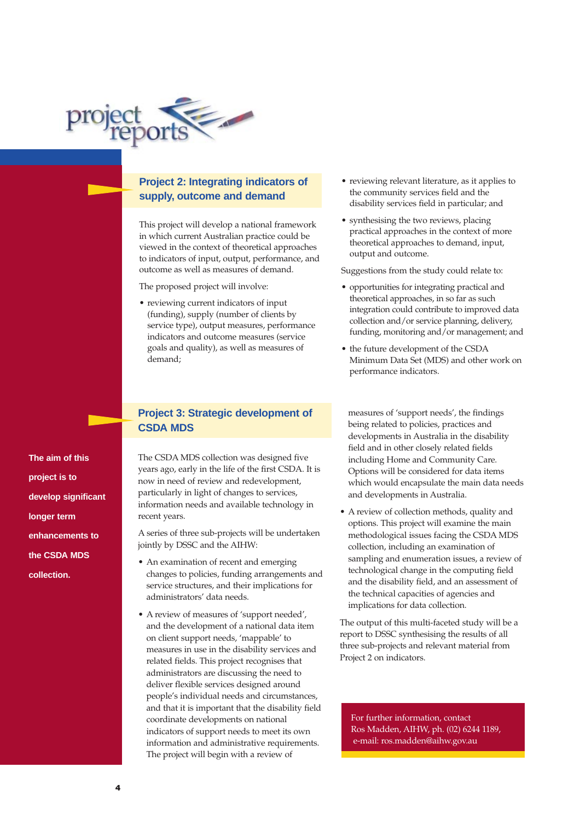

#### **Project 2: Integrating indicators of supply, outcome and demand**

This project will develop a national framework in which current Australian practice could be viewed in the context of theoretical approaches to indicators of input, output, performance, and outcome as well as measures of demand.

The proposed project will involve:

• reviewing current indicators of input (funding), supply (number of clients by service type), output measures, performance indicators and outcome measures (service goals and quality), as well as measures of demand;

**The aim of this project is to develop significant longer term enhancements to the CSDA MDS collection.**

#### **Project 3: Strategic development of CSDA MDS**

The CSDA MDS collection was designed five years ago, early in the life of the first CSDA. It is now in need of review and redevelopment, particularly in light of changes to services, information needs and available technology in recent years.

A series of three sub-projects will be undertaken jointly by DSSC and the AIHW:

- An examination of recent and emerging changes to policies, funding arrangements and service structures, and their implications for administrators' data needs.
- A review of measures of 'support needed', and the development of a national data item on client support needs, 'mappable' to measures in use in the disability services and related fields. This project recognises that administrators are discussing the need to deliver flexible services designed around people's individual needs and circumstances, and that it is important that the disability field coordinate developments on national indicators of support needs to meet its own information and administrative requirements. The project will begin with a review of
- reviewing relevant literature, as it applies to the community services field and the disability services field in particular; and
- synthesising the two reviews, placing practical approaches in the context of more theoretical approaches to demand, input, output and outcome.

Suggestions from the study could relate to:

- opportunities for integrating practical and theoretical approaches, in so far as such integration could contribute to improved data collection and/or service planning, delivery, funding, monitoring and/or management; and
- the future development of the CSDA Minimum Data Set (MDS) and other work on performance indicators.

measures of 'support needs', the findings being related to policies, practices and developments in Australia in the disability field and in other closely related fields including Home and Community Care. Options will be considered for data items which would encapsulate the main data needs and developments in Australia.

• A review of collection methods, quality and options. This project will examine the main methodological issues facing the CSDA MDS collection, including an examination of sampling and enumeration issues, a review of technological change in the computing field and the disability field, and an assessment of the technical capacities of agencies and implications for data collection.

The output of this multi-faceted study will be a report to DSSC synthesising the results of all three sub-projects and relevant material from Project 2 on indicators.

For further information, contact Ros Madden, AIHW, ph. (02) 6244 1189, e-mail: ros.madden@aihw.gov.au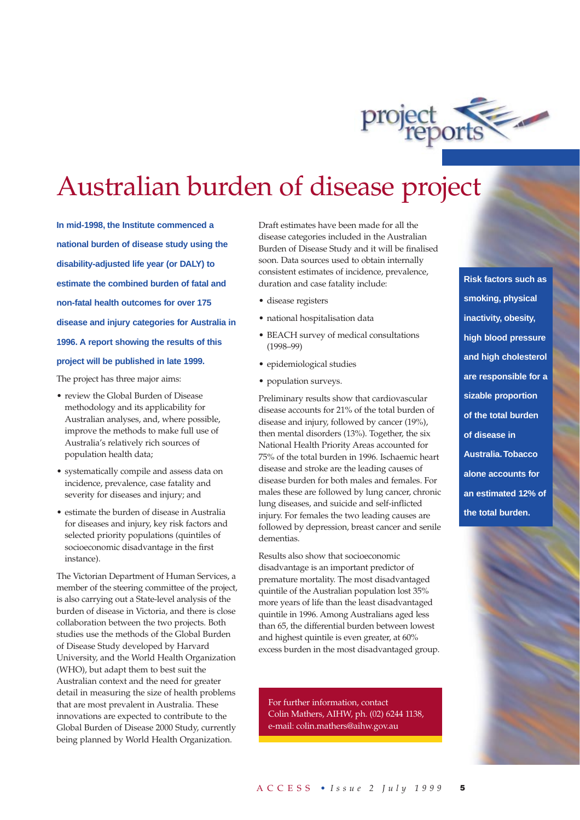

# Australian burden of disease project

**In mid-1998, the Institute commenced a national burden of disease study using the disability-adjusted life year (or DALY) to estimate the combined burden of fatal and non-fatal health outcomes for over 175 disease and injury categories for Australia in 1996. A report showing the results of this project will be published in late 1999.**

The project has three major aims:

- review the Global Burden of Disease methodology and its applicability for Australian analyses, and, where possible, improve the methods to make full use of Australia's relatively rich sources of population health data;
- systematically compile and assess data on incidence, prevalence, case fatality and severity for diseases and injury; and
- estimate the burden of disease in Australia for diseases and injury, key risk factors and selected priority populations (quintiles of socioeconomic disadvantage in the first instance).

The Victorian Department of Human Services, a member of the steering committee of the project, is also carrying out a State-level analysis of the burden of disease in Victoria, and there is close collaboration between the two projects. Both studies use the methods of the Global Burden of Disease Study developed by Harvard University, and the World Health Organization (WHO), but adapt them to best suit the Australian context and the need for greater detail in measuring the size of health problems that are most prevalent in Australia. These innovations are expected to contribute to the Global Burden of Disease 2000 Study, currently being planned by World Health Organization.

Draft estimates have been made for all the disease categories included in the Australian Burden of Disease Study and it will be finalised soon. Data sources used to obtain internally consistent estimates of incidence, prevalence, duration and case fatality include:

- disease registers
- national hospitalisation data
- BEACH survey of medical consultations (1998–99)
- epidemiological studies
- population surveys.

Preliminary results show that cardiovascular disease accounts for 21% of the total burden of disease and injury, followed by cancer (19%), then mental disorders (13%). Together, the six National Health Priority Areas accounted for 75% of the total burden in 1996. Ischaemic heart disease and stroke are the leading causes of disease burden for both males and females. For males these are followed by lung cancer, chronic lung diseases, and suicide and self-inflicted injury. For females the two leading causes are followed by depression, breast cancer and senile dementias.

Results also show that socioeconomic disadvantage is an important predictor of premature mortality. The most disadvantaged quintile of the Australian population lost 35% more years of life than the least disadvantaged quintile in 1996. Among Australians aged less than 65, the differential burden between lowest and highest quintile is even greater, at 60% excess burden in the most disadvantaged group.

For further information, contact Colin Mathers, AIHW, ph. (02) 6244 1138, e-mail: colin.mathers@aihw.gov.au

**Risk factors such as smoking, physical inactivity, obesity, high blood pressure and high cholesterol are responsible for a sizable proportion of the total burden of disease in Australia.Tobacco alone accounts for an estimated 12% of the total burden.**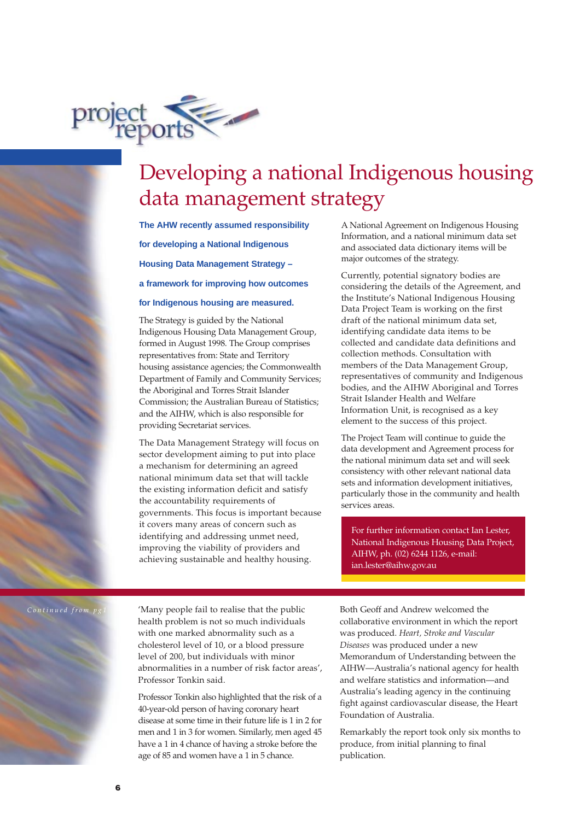

## Developing a national Indigenous housing data management strategy

**The AHW recently assumed responsibility for developing a National Indigenous Housing Data Management Strategy – a framework for improving how outcomes**

#### **for Indigenous housing are measured.**

The Strategy is guided by the National Indigenous Housing Data Management Group, formed in August 1998. The Group comprises representatives from: State and Territory housing assistance agencies; the Commonwealth Department of Family and Community Services; the Aboriginal and Torres Strait Islander Commission; the Australian Bureau of Statistics; and the AIHW, which is also responsible for providing Secretariat services.

The Data Management Strategy will focus on sector development aiming to put into place a mechanism for determining an agreed national minimum data set that will tackle the existing information deficit and satisfy the accountability requirements of governments. This focus is important because it covers many areas of concern such as identifying and addressing unmet need, improving the viability of providers and achieving sustainable and healthy housing.

A National Agreement on Indigenous Housing Information, and a national minimum data set and associated data dictionary items will be major outcomes of the strategy.

Currently, potential signatory bodies are considering the details of the Agreement, and the Institute's National Indigenous Housing Data Project Team is working on the first draft of the national minimum data set, identifying candidate data items to be collected and candidate data definitions and collection methods. Consultation with members of the Data Management Group, representatives of community and Indigenous bodies, and the AIHW Aboriginal and Torres Strait Islander Health and Welfare Information Unit, is recognised as a key element to the success of this project.

The Project Team will continue to guide the data development and Agreement process for the national minimum data set and will seek consistency with other relevant national data sets and information development initiatives, particularly those in the community and health services areas.

For further information contact Ian Lester, National Indigenous Housing Data Project, AIHW, ph. (02) 6244 1126, e-mail: ian.lester@aihw.gov.au

*Continued from* 

'Many people fail to realise that the public health problem is not so much individuals with one marked abnormality such as a cholesterol level of 10, or a blood pressure level of 200, but individuals with minor abnormalities in a number of risk factor areas', Professor Tonkin said.

Professor Tonkin also highlighted that the risk of a 40-year-old person of having coronary heart disease at some time in their future life is 1 in 2 for men and 1 in 3 for women. Similarly, men aged 45 have a 1 in 4 chance of having a stroke before the age of 85 and women have a 1 in 5 chance.

Both Geoff and Andrew welcomed the collaborative environment in which the report was produced. *Heart, Stroke and Vascular Diseases* was produced under a new Memorandum of Understanding between the AIHW—Australia's national agency for health and welfare statistics and information—and Australia's leading agency in the continuing fight against cardiovascular disease, the Heart Foundation of Australia.

Remarkably the report took only six months to produce, from initial planning to final publication.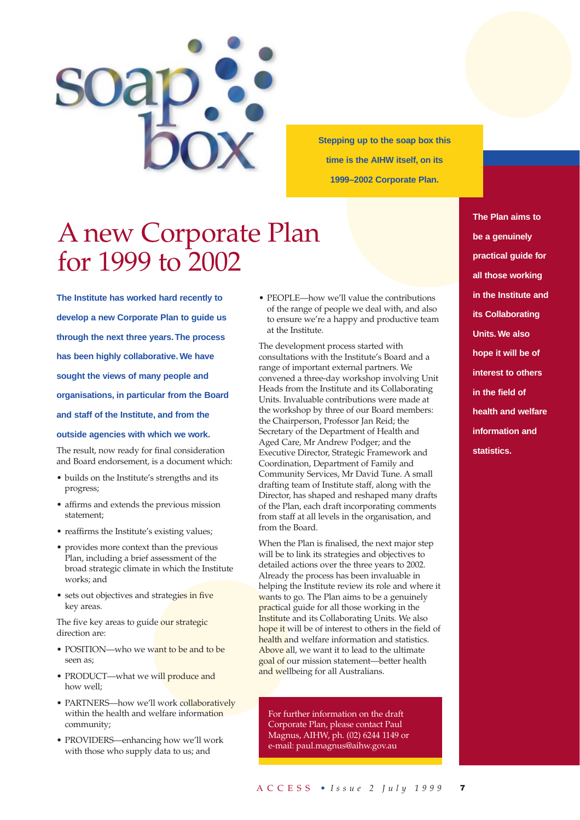

**Stepping up to the soap box this time is the AIHW itself, on its 1999–2002 Corporate Plan.**

# A new Corporate Plan for 1999 to 2002

**The Institute has worked hard recently to develop a new Corporate Plan to guide us through the next three years.The process has been highly collaborative.We have sought the views of many people and organisations, in particular from the Board and staff of the Institute, and from the outside agencies with which we work.**

The result, now ready for final consideration and Board endorsement, is a document which:

- builds on the Institute's strengths and its progress;
- affirms and extends the previous mission statement;
- reaffirms the Institute's existing values;
- provides more context than the previous Plan, including a brief assessment of the broad strategic climate in which the Institute works; and
- sets out objectives and strategies in five key areas.

The five key areas to guide our strategic direction are:

- POSITION—who we want to be and to be seen as;
- PRODUCT—what we will produce and how well;
- PARTNERS-how we'll work collaboratively within the health and welfare information community;
- PROVIDERS—enhancing how we'll work with those who supply data to us; and

• PEOPLE—how we'll value the contributions of the range of people we deal with, and also to ensure we're a happy and productive team at the Institute.

The development process started with consultations with the Institute's Board and a range of important external partners. We convened a three-day workshop involving Unit Heads from the Institute and its Collaborating Units. Invaluable contributions were made at the workshop by three of our Board members: the Chairperson, Professor Jan Reid; the Secretary of the Department of Health and Aged Care, Mr Andrew Podger; and the Executive Director, Strategic Framework and Coordination, Department of Family and Community Services, Mr David Tune. A small drafting team of Institute staff, along with the Director, has shaped and reshaped many drafts of the Plan, each draft incorporating comments from staff at all levels in the organisation, and from the Board.

When the Plan is finalised, the next major step will be to link its strategies and objectives to detailed actions over the three years to 2002. Already the process has been invaluable in helping the Institute review its role and where it wants to go. The Plan aims to be a genuinely practical guide for all those working in the Institute and its Collaborating Units. We also hope it will be of interest to others in the field of health and welfare information and statistics. Above all, we want it to lead to the ultimate goal of our mission statement—better health and wellbeing for all Australians.

For further information on the draft Corporate Plan, please contact Paul Magnus, AIHW, ph. (02) 6244 1149 or e-mail: paul.magnus@aihw.gov.au

**The Plan aims to be a genuinely practical guide for all those working in the Institute and its Collaborating Units.We also hope it will be of interest to others in the field of health and welfare information and statistics.**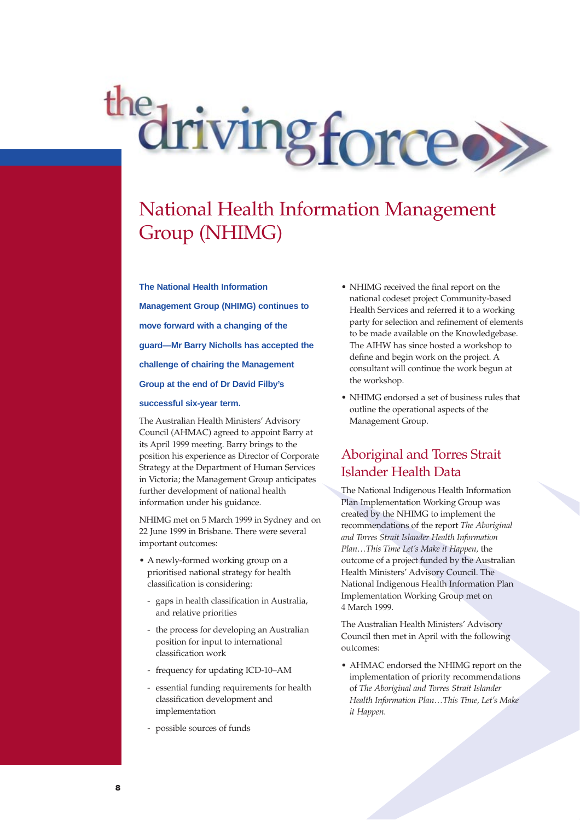drivingforce

## National Health Information Management Group (NHIMG)

**The National Health Information Management Group (NHIMG) continues to move forward with a changing of the**

**guard—Mr Barry Nicholls has accepted the**

**challenge of chairing the Management**

**Group at the end of Dr David Filby's**

#### **successful six-year term.**

The Australian Health Ministers' Advisory Council (AHMAC) agreed to appoint Barry at its April 1999 meeting. Barry brings to the position his experience as Director of Corporate Strategy at the Department of Human Services in Victoria; the Management Group anticipates further development of national health information under his guidance.

NHIMG met on 5 March 1999 in Sydney and on 22 June 1999 in Brisbane. There were several important outcomes:

- A newly-formed working group on a prioritised national strategy for health classification is considering:
	- gaps in health classification in Australia, and relative priorities
	- the process for developing an Australian position for input to international classification work
	- frequency for updating ICD-10–AM
	- essential funding requirements for health classification development and implementation
	- possible sources of funds
- NHIMG received the final report on the national codeset project Community-based Health Services and referred it to a working party for selection and refinement of elements to be made available on the Knowledgebase. The AIHW has since hosted a workshop to define and begin work on the project. A consultant will continue the work begun at the workshop.
- NHIMG endorsed a set of business rules that outline the operational aspects of the Management Group.

#### Aboriginal and Torres Strait Islander Health Data

The National Indigenous Health Information Plan Implementation Working Group was created by the NHIMG to implement the recommendations of the report *The Aboriginal and Torres Strait Islander Health Information Plan…This Time Let's Make it Happen,* the outcome of a project funded by the Australian Health Ministers' Advisory Council. The National Indigenous Health Information Plan Implementation Working Group met on 4 March 1999.

The Australian Health Ministers' Advisory Council then met in April with the following outcomes:

• AHMAC endorsed the NHIMG report on the implementation of priority recommendations of *The Aboriginal and Torres Strait Islander Health Information Plan…This Time, Let's Make it Happen.*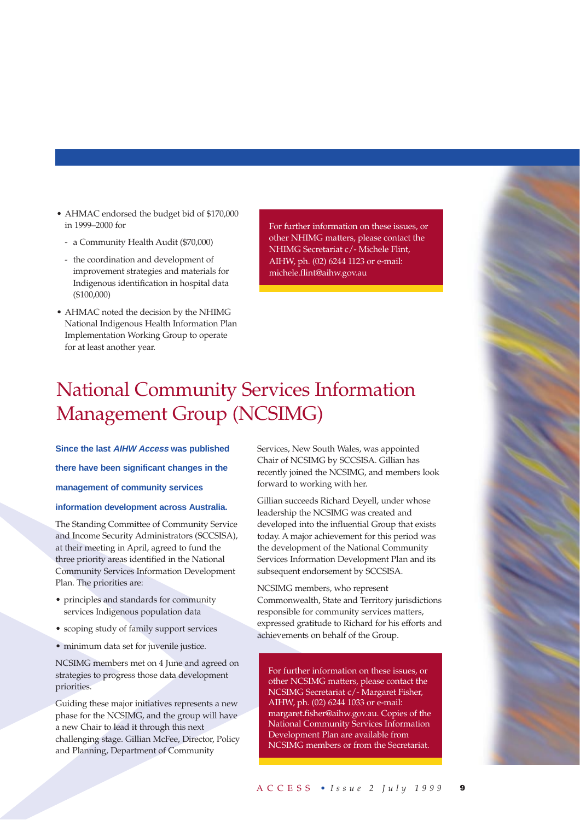- AHMAC endorsed the budget bid of \$170,000 in 1999–2000 for
	- a Community Health Audit (\$70,000)
	- the coordination and development of improvement strategies and materials for Indigenous identification in hospital data (\$100,000)
- AHMAC noted the decision by the NHIMG National Indigenous Health Information Plan Implementation Working Group to operate for at least another year.

For further information on these issues, or other NHIMG matters, please contact the NHIMG Secretariat c/- Michele Flint, AIHW, ph. (02) 6244 1123 or e-mail: michele.flint@aihw.gov.au

## National Community Services Information Management Group (NCSIMG)

**Since the last AIHW Access was published there have been significant changes in the management of community services**

#### **information development across Australia.**

The Standing Committee of Community Service and Income Security Administrators (SCCSISA), at their meeting in April, agreed to fund the three priority areas identified in the National Community Services Information Development Plan. The priorities are:

- principles and standards for community services Indigenous population data
- scoping study of family support services
- minimum data set for juvenile justice.

NCSIMG members met on 4 June and agreed on strategies to progress those data development priorities.

Guiding these major initiatives represents a new phase for the NCSIMG, and the group will have a new Chair to lead it through this next challenging stage. Gillian McFee, Director, Policy and Planning, Department of Community

Services, New South Wales, was appointed Chair of NCSIMG by SCCSISA. Gillian has recently joined the NCSIMG, and members look forward to working with her.

Gillian succeeds Richard Deyell, under whose leadership the NCSIMG was created and developed into the influential Group that exists today. A major achievement for this period was the development of the National Community Services Information Development Plan and its subsequent endorsement by SCCSISA.

NCSIMG members, who represent Commonwealth, State and Territory jurisdictions responsible for community services matters, expressed gratitude to Richard for his efforts and achievements on behalf of the Group.

For further information on these issues, or other NCSIMG matters, please contact the NCSIMG Secretariat c/- Margaret Fisher, AIHW, ph. (02) 6244 1033 or e-mail: margaret.fisher@aihw.gov.au. Copies of the National Community Services Information Development Plan are available from NCSIMG members or from the Secretariat.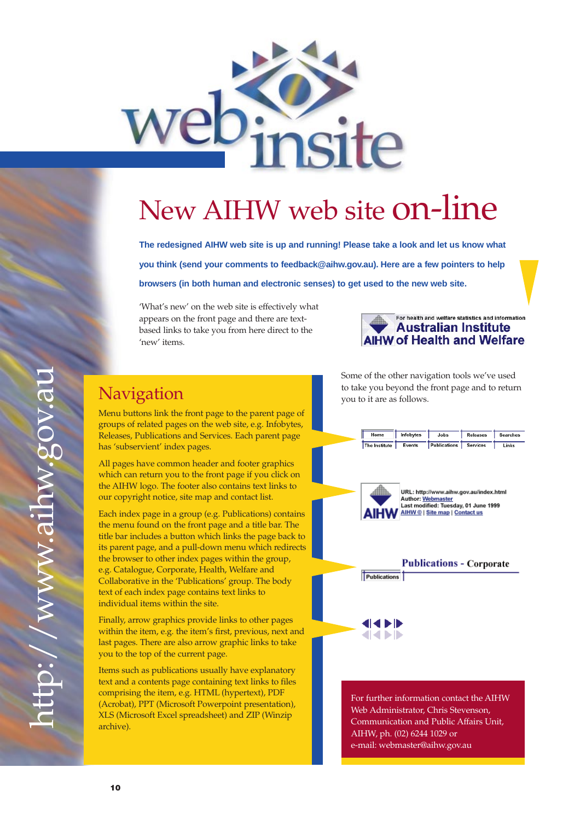

# New AIHW web site on-line

**The redesigned AIHW web site is up and running! Please take a look and let us know what you think (send your comments to feedback@aihw.gov.au). Here are a few pointers to help browsers (in both human and electronic senses) to get used to the new web site.**

'What's new' on the web site is effectively what appears on the front page and there are textbased links to take you from here direct to the 'new' items.



## Navigation

Menu buttons link the front page to the parent page of groups of related pages on the web site, e.g. Infobytes, Releases, Publications and Services. Each parent page has 'subservient' index pages.

All pages have common header and footer graphics which can return you to the front page if you click on the AIHW logo. The footer also contains text links to our copyright notice, site map and contact list.

Each index page in a group (e.g. Publications) contains the menu found on the front page and a title bar. The title bar includes a button which links the page back to its parent page, and a pull-down menu which redirects the browser to other index pages within the group, e.g. Catalogue, Corporate, Health, Welfare and Collaborative in the 'Publications' group. The body text of each index page contains text links to individual items within the site.

Finally, arrow graphics provide links to other pages within the item, e.g. the item's first, previous, next and last pages. There are also arrow graphic links to take you to the top of the current page.

Items such as publications usually have explanatory text and a contents page containing text links to files comprising the item, e.g. HTML (hypertext), PDF (Acrobat), PPT (Microsoft Powerpoint presentation), XLS (Microsoft Excel spreadsheet) and ZIP (Winzip archive).

Some of the other navigation tools we've used to take you beyond the front page and to return you to it are as follows.



e-mail: webmaster@aihw.gov.au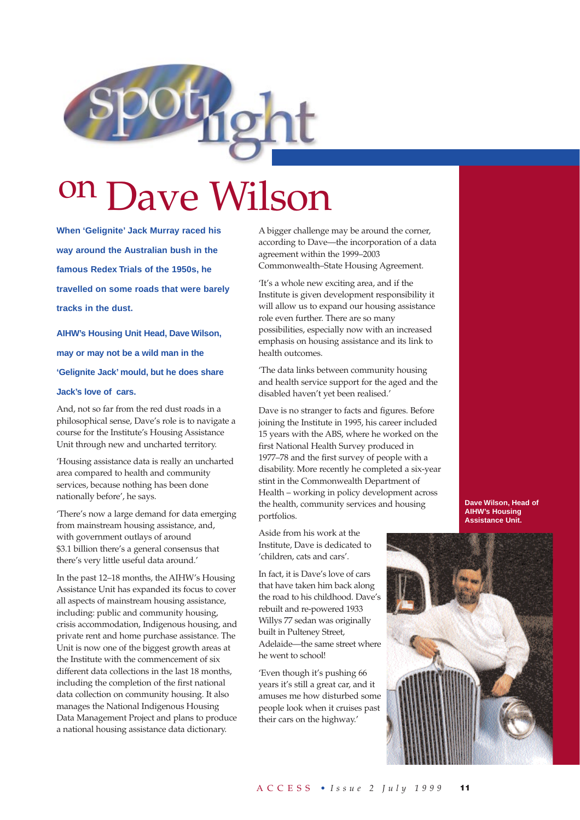

# on Dave Wilson

**When 'Gelignite' Jack Murray raced his way around the Australian bush in the famous Redex Trials of the 1950s, he travelled on some roads that were barely tracks in the dust.**

**AIHW's Housing Unit Head, Dave Wilson, may or may not be a wild man in the 'Gelignite Jack' mould, but he does share**

#### **Jack's love of cars.**

And, not so far from the red dust roads in a philosophical sense, Dave's role is to navigate a course for the Institute's Housing Assistance Unit through new and uncharted territory.

'Housing assistance data is really an uncharted area compared to health and community services, because nothing has been done nationally before', he says.

'There's now a large demand for data emerging from mainstream housing assistance, and, with government outlays of around \$3.1 billion there's a general consensus that there's very little useful data around.'

In the past 12–18 months, the AIHW's Housing Assistance Unit has expanded its focus to cover all aspects of mainstream housing assistance, including: public and community housing, crisis accommodation, Indigenous housing, and private rent and home purchase assistance. The Unit is now one of the biggest growth areas at the Institute with the commencement of six different data collections in the last 18 months, including the completion of the first national data collection on community housing. It also manages the National Indigenous Housing Data Management Project and plans to produce a national housing assistance data dictionary.

A bigger challenge may be around the corner, according to Dave—the incorporation of a data agreement within the 1999–2003 Commonwealth–State Housing Agreement.

'It's a whole new exciting area, and if the Institute is given development responsibility it will allow us to expand our housing assistance role even further. There are so many possibilities, especially now with an increased emphasis on housing assistance and its link to health outcomes.

'The data links between community housing and health service support for the aged and the disabled haven't yet been realised.'

Dave is no stranger to facts and figures. Before joining the Institute in 1995, his career included 15 years with the ABS, where he worked on the first National Health Survey produced in 1977–78 and the first survey of people with a disability. More recently he completed a six-year stint in the Commonwealth Department of Health – working in policy development across the health, community services and housing portfolios.

Aside from his work at the Institute, Dave is dedicated to 'children, cats and cars'.

In fact, it is Dave's love of cars that have taken him back along the road to his childhood. Dave's rebuilt and re-powered 1933 Willys 77 sedan was originally built in Pulteney Street, Adelaide—the same street where he went to school!

'Even though it's pushing 66 years it's still a great car, and it amuses me how disturbed some people look when it cruises past their cars on the highway.'

**Dave Wilson, Head of AIHW's Housing Assistance Unit.**

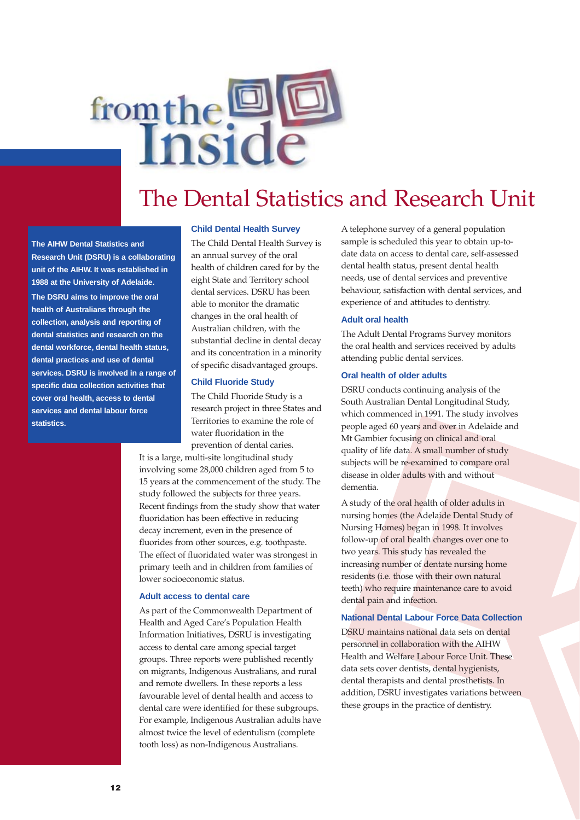# from the DE

## The Dental Statistics and Research Unit

**The AIHW Dental Statistics and Research Unit (DSRU) is a collaborating unit of the AIHW. It was established in 1988 at the University of Adelaide. The DSRU aims to improve the oral health of Australians through the collection, analysis and reporting of dental statistics and research on the dental workforce, dental health status, dental practices and use of dental services. DSRU is involved in a range of specific data collection activities that cover oral health, access to dental services and dental labour force statistics.**

#### **Child Dental Health Survey**

The Child Dental Health Survey is an annual survey of the oral health of children cared for by the eight State and Territory school dental services. DSRU has been able to monitor the dramatic changes in the oral health of Australian children, with the substantial decline in dental decay and its concentration in a minority of specific disadvantaged groups.

#### **Child Fluoride Study**

The Child Fluoride Study is a research project in three States and Territories to examine the role of water fluoridation in the prevention of dental caries.

It is a large, multi-site longitudinal study involving some 28,000 children aged from 5 to 15 years at the commencement of the study. The study followed the subjects for three years. Recent findings from the study show that water fluoridation has been effective in reducing decay increment, even in the presence of fluorides from other sources, e.g. toothpaste. The effect of fluoridated water was strongest in primary teeth and in children from families of lower socioeconomic status.

#### **Adult access to dental care**

As part of the Commonwealth Department of Health and Aged Care's Population Health Information Initiatives, DSRU is investigating access to dental care among special target groups. Three reports were published recently on migrants, Indigenous Australians, and rural and remote dwellers. In these reports a less favourable level of dental health and access to dental care were identified for these subgroups. For example, Indigenous Australian adults have almost twice the level of edentulism (complete tooth loss) as non-Indigenous Australians.

A telephone survey of a general population sample is scheduled this year to obtain up-todate data on access to dental care, self-assessed dental health status, present dental health needs, use of dental services and preventive behaviour, satisfaction with dental services, and experience of and attitudes to dentistry.

#### **Adult oral health**

The Adult Dental Programs Survey monitors the oral health and services received by adults attending public dental services.

#### **Oral health of older adults**

DSRU conducts continuing analysis of the South Australian Dental Longitudinal Study, which commenced in 1991. The study involves people aged 60 years and over in Adelaide and Mt Gambier focusing on clinical and oral quality of life data. A small number of study subjects will be re-examined to compare oral disease in older adults with and without dementia.

A study of the oral health of older adults in nursing homes (the Adelaide Dental Study of Nursing Homes) began in 1998. It involves follow-up of oral health changes over one to two years. This study has revealed the increasing number of dentate nursing home residents (i.e. those with their own natural teeth) who require maintenance care to avoid dental pain and infection.

#### **National Dental Labour Force Data Collection**

DSRU maintains national data sets on dental personnel in collaboration with the AIHW Health and Welfare Labour Force Unit. These data sets cover dentists, dental hygienists, dental therapists and dental prosthetists. In addition, DSRU investigates variations between these groups in the practice of dentistry.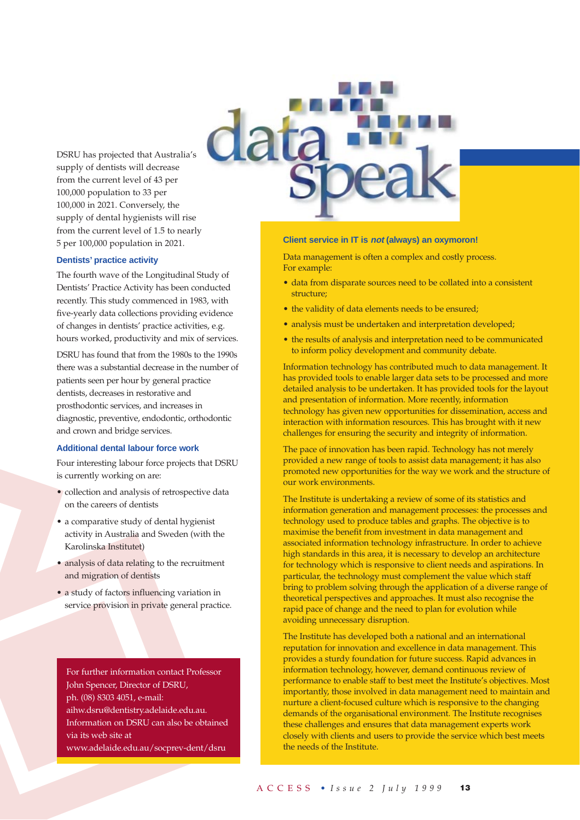DSRU has projected that Australia's supply of dentists will decrease from the current level of 43 per 100,000 population to 33 per 100,000 in 2021. Conversely, the supply of dental hygienists will rise from the current level of 1.5 to nearly 5 per 100,000 population in 2021.

#### **Dentists' practice activity**

The fourth wave of the Longitudinal Study of Dentists' Practice Activity has been conducted recently. This study commenced in 1983, with five-yearly data collections providing evidence of changes in dentists' practice activities, e.g. hours worked, productivity and mix of services.

DSRU has found that from the 1980s to the 1990s there was a substantial decrease in the number of patients seen per hour by general practice dentists, decreases in restorative and prosthodontic services, and increases in diagnostic, preventive, endodontic, orthodontic and crown and bridge services.

#### **Additional dental labour force work**

Four interesting labour force projects that DSRU is currently working on are:

- collection and analysis of retrospective data on the careers of dentists
- a comparative study of dental hygienist activity in Australia and Sweden (with the Karolinska Institutet)
- analysis of data relating to the recruitment and migration of dentists
- a study of factors influencing variation in service provision in private general practice.

For further information contact Professor John Spencer, Director of DSRU, ph. (08) 8303 4051, e-mail: aihw.dsru@dentistry.adelaide.edu.au. Information on DSRU can also be obtained via its web site at www.adelaide.edu.au/socprev-dent/dsru

#### **Client service in IT is not (always) an oxymoron!**

Data management is often a complex and costly process. For example:

- data from disparate sources need to be collated into a consistent structure;
- the validity of data elements needs to be ensured;
- analysis must be undertaken and interpretation developed;
- the results of analysis and interpretation need to be communicated to inform policy development and community debate.

Information technology has contributed much to data management. It has provided tools to enable larger data sets to be processed and more detailed analysis to be undertaken. It has provided tools for the layout and presentation of information. More recently, information technology has given new opportunities for dissemination, access and interaction with information resources. This has brought with it new challenges for ensuring the security and integrity of information.

The pace of innovation has been rapid. Technology has not merely provided a new range of tools to assist data management; it has also promoted new opportunities for the way we work and the structure of our work environments.

The Institute is undertaking a review of some of its statistics and information generation and management processes: the processes and technology used to produce tables and graphs. The objective is to maximise the benefit from investment in data management and associated information technology infrastructure. In order to achieve high standards in this area, it is necessary to develop an architecture for technology which is responsive to client needs and aspirations. In particular, the technology must complement the value which staff bring to problem solving through the application of a diverse range of theoretical perspectives and approaches. It must also recognise the rapid pace of change and the need to plan for evolution while avoiding unnecessary disruption.

The Institute has developed both a national and an international reputation for innovation and excellence in data management. This provides a sturdy foundation for future success. Rapid advances in information technology, however, demand continuous review of performance to enable staff to best meet the Institute's objectives. Most importantly, those involved in data management need to maintain and nurture a client-focused culture which is responsive to the changing demands of the organisational environment. The Institute recognises these challenges and ensures that data management experts work closely with clients and users to provide the service which best meets the needs of the Institute.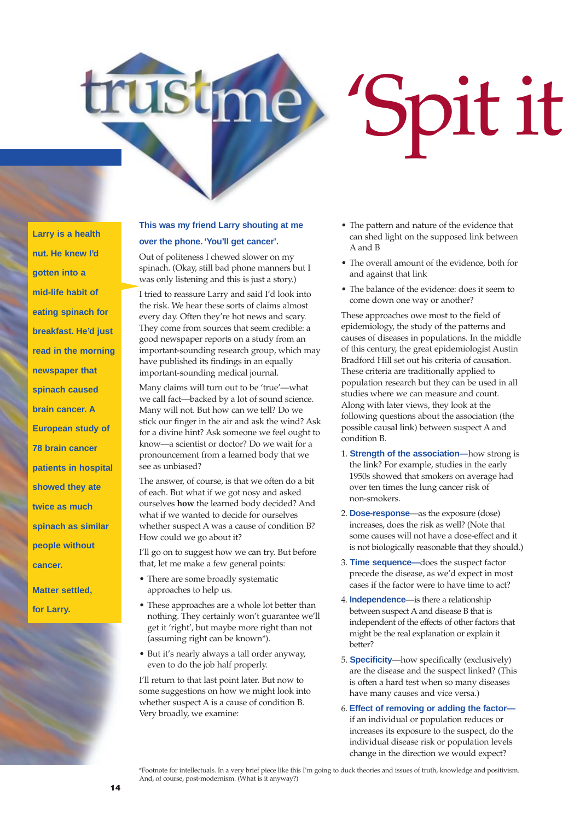'Spit it

**Larry is a health nut. He knew I'd gotten into a mid-life habit of eating spinach for breakfast. He'd just read in the morning newspaper that spinach caused brain cancer. A European study of 78 brain cancer patients in hospital showed they ate twice as much spinach as similar people without cancer.**

**Matter settled, for Larry.**

#### **This was my friend Larry shouting at me over the phone. 'You'll get cancer'.**

Out of politeness I chewed slower on my spinach. (Okay, still bad phone manners but I was only listening and this is just a story.)

I tried to reassure Larry and said I'd look into the risk. We hear these sorts of claims almost every day. Often they're hot news and scary. They come from sources that seem credible: a good newspaper reports on a study from an important-sounding research group, which may have published its findings in an equally important-sounding medical journal.

Many claims will turn out to be 'true'—what we call fact—backed by a lot of sound science. Many will not. But how can we tell? Do we stick our finger in the air and ask the wind? Ask for a divine hint? Ask someone we feel ought to know—a scientist or doctor? Do we wait for a pronouncement from a learned body that we see as unbiased?

The answer, of course, is that we often do a bit of each. But what if we got nosy and asked ourselves **how** the learned body decided? And what if we wanted to decide for ourselves whether suspect A was a cause of condition B? How could we go about it?

I'll go on to suggest how we can try. But before that, let me make a few general points:

- There are some broadly systematic approaches to help us.
- These approaches are a whole lot better than nothing. They certainly won't guarantee we'll get it 'right', but maybe more right than not (assuming right can be known\*).
- But it's nearly always a tall order anyway, even to do the job half properly.

I'll return to that last point later. But now to some suggestions on how we might look into whether suspect A is a cause of condition B. Very broadly, we examine:

- The pattern and nature of the evidence that can shed light on the supposed link between A and B
- The overall amount of the evidence, both for and against that link
- The balance of the evidence: does it seem to come down one way or another?

These approaches owe most to the field of epidemiology, the study of the patterns and causes of diseases in populations. In the middle of this century, the great epidemiologist Austin Bradford Hill set out his criteria of causation. These criteria are traditionally applied to population research but they can be used in all studies where we can measure and count. Along with later views, they look at the following questions about the association (the possible causal link) between suspect A and condition B.

- 1. **Strength of the association—**how strong is the link? For example, studies in the early 1950s showed that smokers on average had over ten times the lung cancer risk of non-smokers.
- 2. **Dose-response**—as the exposure (dose) increases, does the risk as well? (Note that some causes will not have a dose-effect and it is not biologically reasonable that they should.)
- 3. **Time sequence—**does the suspect factor precede the disease, as we'd expect in most cases if the factor were to have time to act?
- 4. **Independence**—is there a relationship between suspect Aand disease B that is independent of the effects of other factors that might be the real explanation or explain it better?
- 5. **Specificity**—how specifically (exclusively) are the disease and the suspect linked? (This is often a hard test when so many diseases have many causes and vice versa.)
- 6. **Effect of removing or adding the factor** if an individual or population reduces or increases its exposure to the suspect, do the individual disease risk or population levels change in the direction we would expect?

\*Footnote for intellectuals. In a very brief piece like this I'm going to duck theories and issues of truth, knowledge and positivism. And, of course, post-modernism. (What is it anyway?)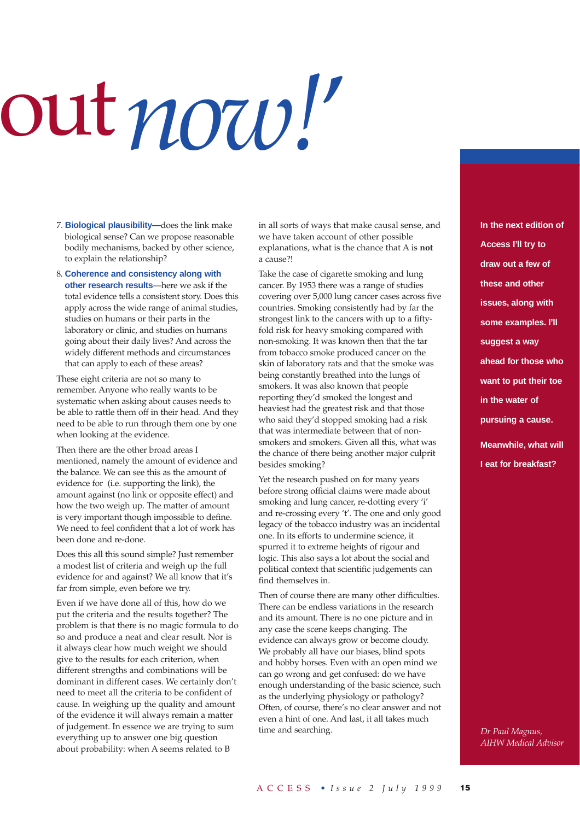# out*now!*'

- 7. **Biological plausibility—**does the link make biological sense? Can we propose reasonable bodily mechanisms, backed by other science, to explain the relationship?
- 8. **Coherence and consistency along with other research results**—here we ask if the total evidence tells a consistent story. Does this apply across the wide range of animal studies, studies on humans or their parts in the laboratory or clinic, and studies on humans going about their daily lives? And across the widely different methods and circumstances that can apply to each of these areas?

These eight criteria are not so many to remember. Anyone who really wants to be systematic when asking about causes needs to be able to rattle them off in their head. And they need to be able to run through them one by one when looking at the evidence.

Then there are the other broad areas I mentioned, namely the amount of evidence and the balance. We can see this as the amount of evidence for (i.e. supporting the link), the amount against (no link or opposite effect) and how the two weigh up. The matter of amount is very important though impossible to define. We need to feel confident that a lot of work has been done and re-done.

Does this all this sound simple? Just remember a modest list of criteria and weigh up the full evidence for and against? We all know that it's far from simple, even before we try.

Even if we have done all of this, how do we put the criteria and the results together? The problem is that there is no magic formula to do so and produce a neat and clear result. Nor is it always clear how much weight we should give to the results for each criterion, when different strengths and combinations will be dominant in different cases. We certainly don't need to meet all the criteria to be confident of cause. In weighing up the quality and amount of the evidence it will always remain a matter of judgement. In essence we are trying to sum everything up to answer one big question about probability: when A seems related to B

in all sorts of ways that make causal sense, and we have taken account of other possible explanations, what is the chance that A is **not** a cause?!

Take the case of cigarette smoking and lung cancer. By 1953 there was a range of studies covering over 5,000 lung cancer cases across five countries. Smoking consistently had by far the strongest link to the cancers with up to a fiftyfold risk for heavy smoking compared with non-smoking. It was known then that the tar from tobacco smoke produced cancer on the skin of laboratory rats and that the smoke was being constantly breathed into the lungs of smokers. It was also known that people reporting they'd smoked the longest and heaviest had the greatest risk and that those who said they'd stopped smoking had a risk that was intermediate between that of nonsmokers and smokers. Given all this, what was the chance of there being another major culprit besides smoking?

Yet the research pushed on for many years before strong official claims were made about smoking and lung cancer, re-dotting every 'i' and re-crossing every 't'. The one and only good legacy of the tobacco industry was an incidental one. In its efforts to undermine science, it spurred it to extreme heights of rigour and logic. This also says a lot about the social and political context that scientific judgements can find themselves in.

Then of course there are many other difficulties. There can be endless variations in the research and its amount. There is no one picture and in any case the scene keeps changing. The evidence can always grow or become cloudy. We probably all have our biases, blind spots and hobby horses. Even with an open mind we can go wrong and get confused: do we have enough understanding of the basic science, such as the underlying physiology or pathology? Often, of course, there's no clear answer and not even a hint of one. And last, it all takes much time and searching.

**In the next edition of Access I'll try to draw out a few of these and other issues, along with some examples. I'll suggest a way ahead for those who want to put their toe in the water of pursuing a cause. Meanwhile, what will I eat for breakfast?** 

*Dr Paul Magnus, AIHW Medical Advisor*